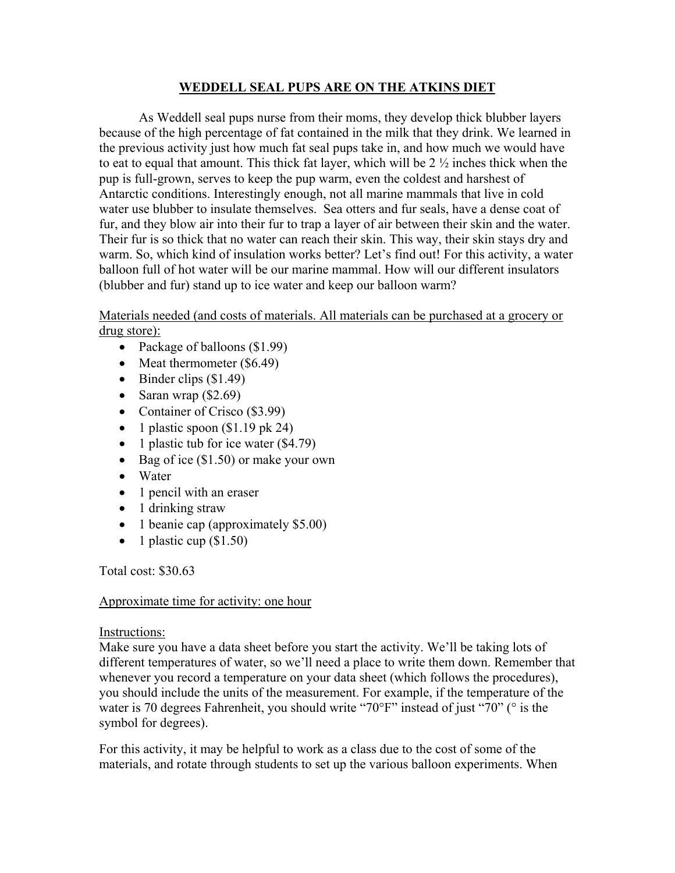## **WEDDELL SEAL PUPS ARE ON THE ATKINS DIET**

 As Weddell seal pups nurse from their moms, they develop thick blubber layers because of the high percentage of fat contained in the milk that they drink. We learned in the previous activity just how much fat seal pups take in, and how much we would have to eat to equal that amount. This thick fat layer, which will be 2 ½ inches thick when the pup is full-grown, serves to keep the pup warm, even the coldest and harshest of Antarctic conditions. Interestingly enough, not all marine mammals that live in cold water use blubber to insulate themselves. Sea otters and fur seals, have a dense coat of fur, and they blow air into their fur to trap a layer of air between their skin and the water. Their fur is so thick that no water can reach their skin. This way, their skin stays dry and warm. So, which kind of insulation works better? Let's find out! For this activity, a water balloon full of hot water will be our marine mammal. How will our different insulators (blubber and fur) stand up to ice water and keep our balloon warm?

Materials needed (and costs of materials. All materials can be purchased at a grocery or drug store):

- Package of balloons (\$1.99)
- Meat thermometer (\$6.49)
- Binder clips  $(\$1.49)$
- Saran wrap  $(\$2.69)$
- Container of Crisco (\$3.99)
- 1 plastic spoon  $(\$1.19 \text{ pk } 24)$
- 1 plastic tub for ice water (\$4.79)
- Bag of ice (\$1.50) or make your own
- Water
- 1 pencil with an eraser
- 1 drinking straw
- 1 beanie cap (approximately \$5.00)
- 1 plastic cup  $(\$1.50)$

Total cost: \$30.63

#### Approximate time for activity: one hour

#### Instructions:

Make sure you have a data sheet before you start the activity. We'll be taking lots of different temperatures of water, so we'll need a place to write them down. Remember that whenever you record a temperature on your data sheet (which follows the procedures), you should include the units of the measurement. For example, if the temperature of the water is 70 degrees Fahrenheit, you should write "70°F" instead of just "70" (° is the symbol for degrees).

For this activity, it may be helpful to work as a class due to the cost of some of the materials, and rotate through students to set up the various balloon experiments. When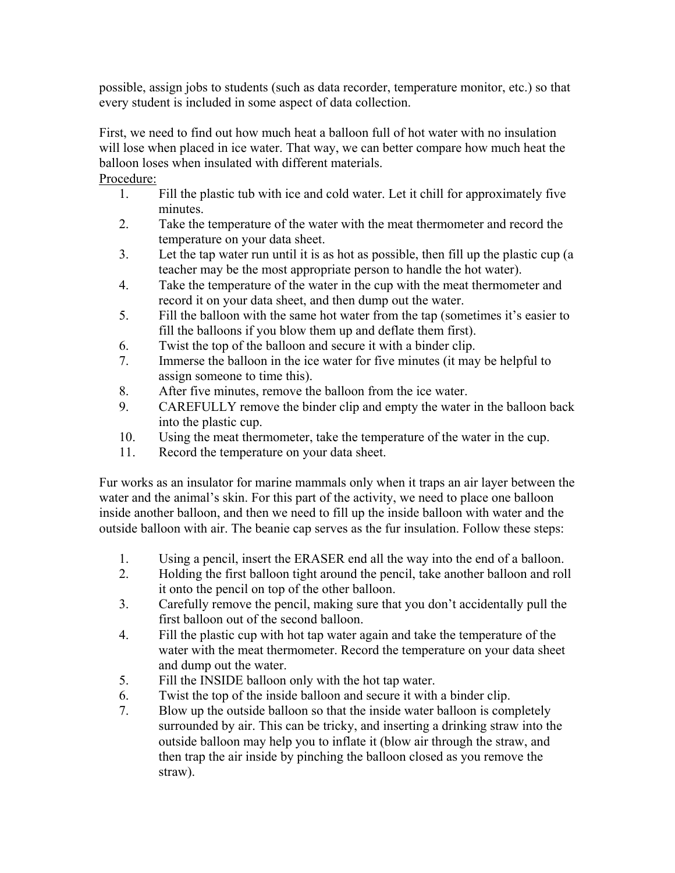possible, assign jobs to students (such as data recorder, temperature monitor, etc.) so that every student is included in some aspect of data collection.

First, we need to find out how much heat a balloon full of hot water with no insulation will lose when placed in ice water. That way, we can better compare how much heat the balloon loses when insulated with different materials. Procedure:

- 1. Fill the plastic tub with ice and cold water. Let it chill for approximately five minutes.
- 2. Take the temperature of the water with the meat thermometer and record the temperature on your data sheet.
- 3. Let the tap water run until it is as hot as possible, then fill up the plastic cup (a teacher may be the most appropriate person to handle the hot water).
- 4. Take the temperature of the water in the cup with the meat thermometer and record it on your data sheet, and then dump out the water.
- 5. Fill the balloon with the same hot water from the tap (sometimes it's easier to fill the balloons if you blow them up and deflate them first).
- 6. Twist the top of the balloon and secure it with a binder clip.
- 7. Immerse the balloon in the ice water for five minutes (it may be helpful to assign someone to time this).
- 8. After five minutes, remove the balloon from the ice water.
- 9. CAREFULLY remove the binder clip and empty the water in the balloon back into the plastic cup.
- 10. Using the meat thermometer, take the temperature of the water in the cup.
- 11. Record the temperature on your data sheet.

Fur works as an insulator for marine mammals only when it traps an air layer between the water and the animal's skin. For this part of the activity, we need to place one balloon inside another balloon, and then we need to fill up the inside balloon with water and the outside balloon with air. The beanie cap serves as the fur insulation. Follow these steps:

- 1. Using a pencil, insert the ERASER end all the way into the end of a balloon.
- 2. Holding the first balloon tight around the pencil, take another balloon and roll it onto the pencil on top of the other balloon.
- 3. Carefully remove the pencil, making sure that you don't accidentally pull the first balloon out of the second balloon.
- 4. Fill the plastic cup with hot tap water again and take the temperature of the water with the meat thermometer. Record the temperature on your data sheet and dump out the water.
- 5. Fill the INSIDE balloon only with the hot tap water.
- 6. Twist the top of the inside balloon and secure it with a binder clip.
- 7. Blow up the outside balloon so that the inside water balloon is completely surrounded by air. This can be tricky, and inserting a drinking straw into the outside balloon may help you to inflate it (blow air through the straw, and then trap the air inside by pinching the balloon closed as you remove the straw).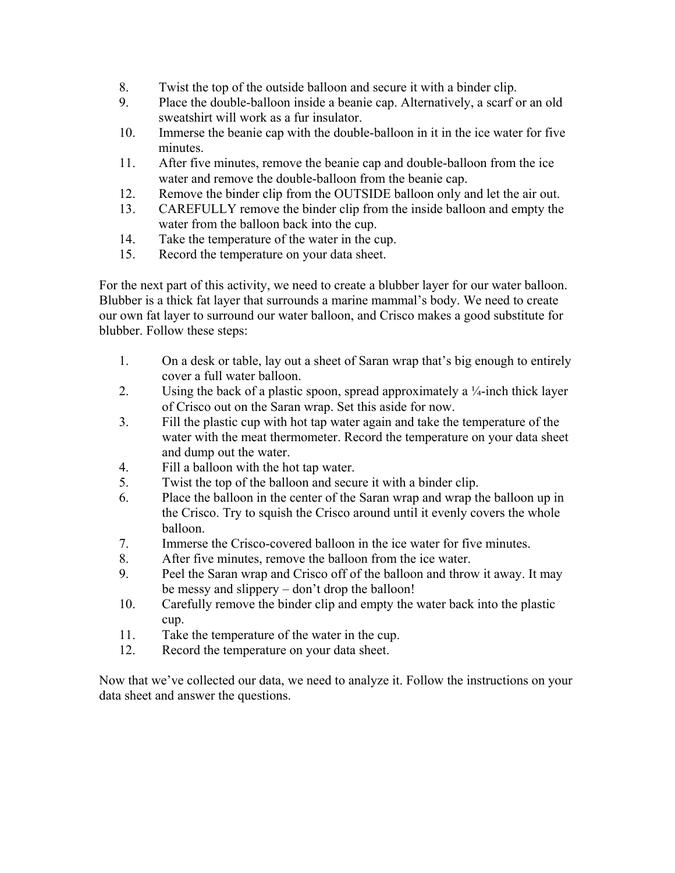- 8. Twist the top of the outside balloon and secure it with a binder clip.
- 9. Place the double-balloon inside a beanie cap. Alternatively, a scarf or an old sweatshirt will work as a fur insulator.
- 10. Immerse the beanie cap with the double-balloon in it in the ice water for five minutes.
- 11. After five minutes, remove the beanie cap and double-balloon from the ice water and remove the double-balloon from the beanie cap.
- 12. Remove the binder clip from the OUTSIDE balloon only and let the air out.
- 13. CAREFULLY remove the binder clip from the inside balloon and empty the water from the balloon back into the cup.
- 14. Take the temperature of the water in the cup.
- 15. Record the temperature on your data sheet.

For the next part of this activity, we need to create a blubber layer for our water balloon. Blubber is a thick fat layer that surrounds a marine mammal's body. We need to create our own fat layer to surround our water balloon, and Crisco makes a good substitute for blubber. Follow these steps:

- 1. On a desk or table, lay out a sheet of Saran wrap that's big enough to entirely cover a full water balloon.
- 2. Using the back of a plastic spoon, spread approximately a  $\frac{1}{4}$ -inch thick layer of Crisco out on the Saran wrap. Set this aside for now.
- 3. Fill the plastic cup with hot tap water again and take the temperature of the water with the meat thermometer. Record the temperature on your data sheet and dump out the water.
- 4. Fill a balloon with the hot tap water.
- 5. Twist the top of the balloon and secure it with a binder clip.
- 6. Place the balloon in the center of the Saran wrap and wrap the balloon up in the Crisco. Try to squish the Crisco around until it evenly covers the whole balloon.
- 7. Immerse the Crisco-covered balloon in the ice water for five minutes.
- 8. After five minutes, remove the balloon from the ice water.
- 9. Peel the Saran wrap and Crisco off of the balloon and throw it away. It may be messy and slippery – don't drop the balloon!
- 10. Carefully remove the binder clip and empty the water back into the plastic cup.
- 11. Take the temperature of the water in the cup.
- 12. Record the temperature on your data sheet.

Now that we've collected our data, we need to analyze it. Follow the instructions on your data sheet and answer the questions.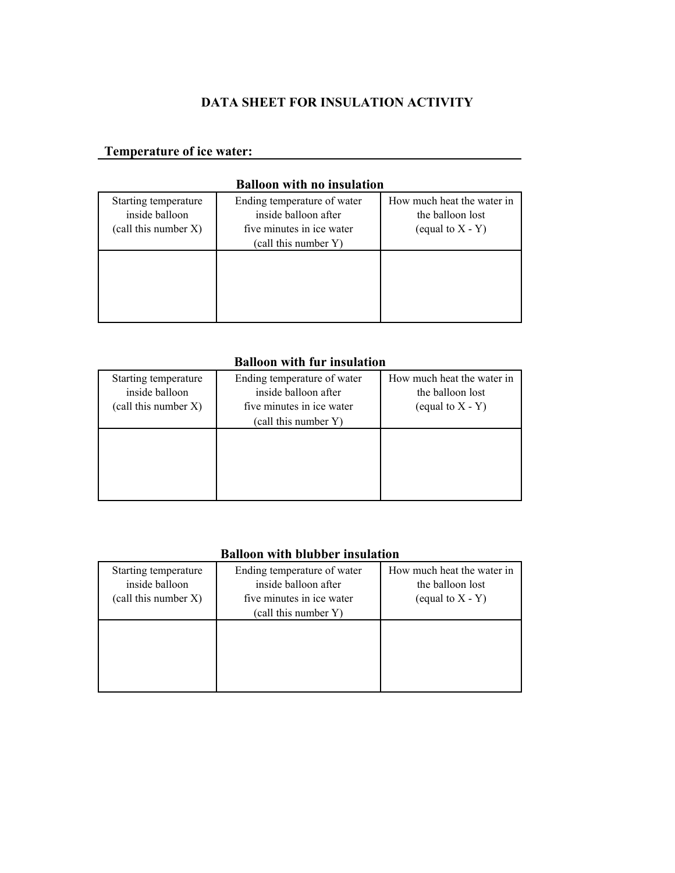## **DATA SHEET FOR INSULATION ACTIVITY**

## **Temperature of ice water:**

# **Balloon with no insulation**  Starting temperature Ending temperature of water How much heat the water in inside balloon inside balloon after the balloon lost (call this number X) five minutes in ice water (equal to  $X - Y$ ) (call this number Y)

#### **Balloon with fur insulation**

| Starting temperature<br>inside balloon<br>$\text{(call this number X)}$ | Ending temperature of water<br>inside balloon after<br>five minutes in ice water<br>(call this number Y) | How much heat the water in<br>the balloon lost<br>(equal to $X - Y$ ) |
|-------------------------------------------------------------------------|----------------------------------------------------------------------------------------------------------|-----------------------------------------------------------------------|
|                                                                         |                                                                                                          |                                                                       |

#### **Balloon with blubber insulation**

| Starting temperature<br>inside balloon<br>$\text{(call this number X)}$ | Ending temperature of water<br>inside balloon after<br>five minutes in ice water<br>(call this number Y) | How much heat the water in<br>the balloon lost<br>(equal to $X - Y$ ) |
|-------------------------------------------------------------------------|----------------------------------------------------------------------------------------------------------|-----------------------------------------------------------------------|
|                                                                         |                                                                                                          |                                                                       |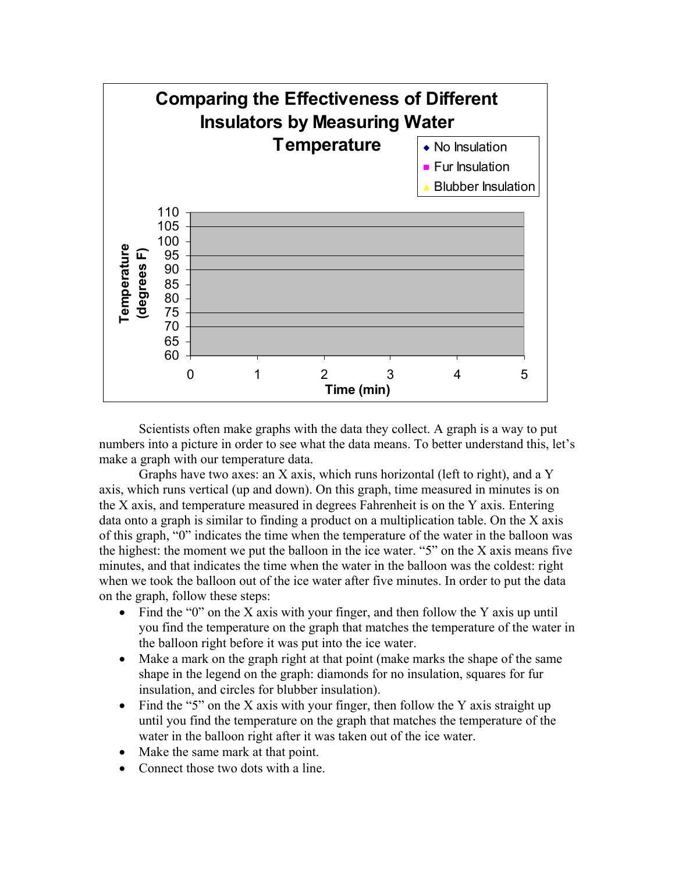

Scientists often make graphs with the data they collect. A graph is a way to put numbers into a picture in order to see what the data means. To better understand this, let's make a graph with our temperature data.

Graphs have two axes: an X axis, which runs horizontal (left to right), and a Y axis, which runs vertical (up and down). On this graph, time measured in minutes is on the X axis, and temperature measured in degrees Fahrenheit is on the Y axis. Entering data onto a graph is similar to finding a product on a multiplication table. On the X axis of this graph, "0" indicates the time when the temperature of the water in the balloon was the highest: the moment we put the balloon in the ice water. "5" on the X axis means five minutes, and that indicates the time when the water in the balloon was the coldest: right when we took the balloon out of the ice water after five minutes. In order to put the data on the graph, follow these steps:

- Find the "0" on the X axis with your finger, and then follow the Y axis up until you find the temperature on the graph that matches the temperature of the water in the balloon right before it was put into the ice water.
- Make a mark on the graph right at that point (make marks the shape of the same shape in the legend on the graph: diamonds for no insulation, squares for fur insulation, and circles for blubber insulation).
- Find the "5" on the X axis with your finger, then follow the Y axis straight up until you find the temperature on the graph that matches the temperature of the water in the balloon right after it was taken out of the ice water.
- Make the same mark at that point.
- Connect those two dots with a line.